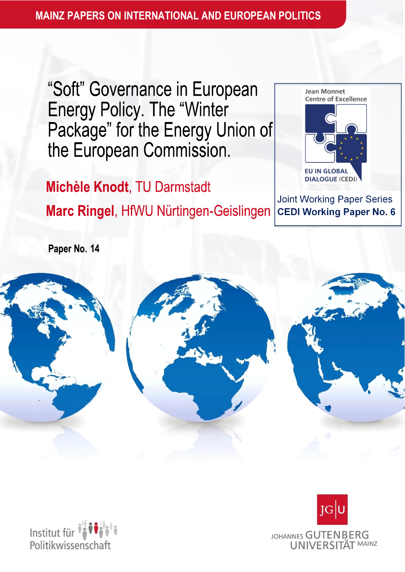"Soft" Governance in European **Energy Policy. The "Winter** Package" for the Energy Union of the European Commission.

#### **DIALOGUE (CED)** Michèle Knodt, TU Darmstadt Joint Working Paper Series Marc Ringel, HfWU Nürtingen-Geislingen **CEDI Working Paper No. 6**

Paper No. 14





**Jean Monnet Centre of Excellence** 

**EU IN GLOBAL** 

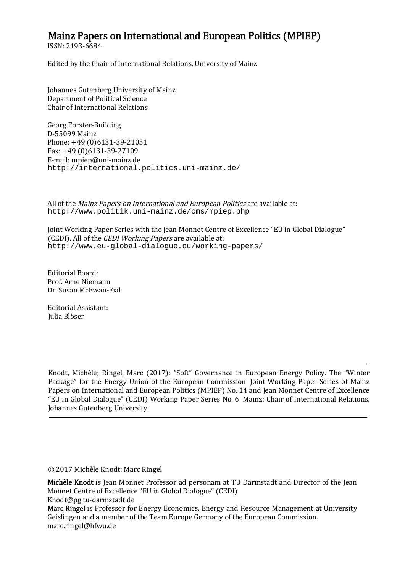#### Mainz Papers on International and European Politics (MPIEP)

ISSN: 2193-6684

Edited by the Chair of International Relations, University of Mainz

Johannes Gutenberg University of Mainz Department of Political Science Chair of International Relations

Georg Forster-Building D-55099 Mainz Phone: +49 (0)6131-39-21051 Fax: +49 (0)6131-39-27109 E-mail: mpiep@uni-mainz.de http://international.politics.uni-mainz.de/

All of the Mainz Papers on International and European Politics are available at: http://www.politik.uni-mainz.de/cms/mpiep.php

Joint Working Paper Series with the Jean Monnet Centre of Excellence "EU in Global Dialogue" (CEDI). All of the CEDI Working Papers are available at: http://www.eu-global-dialogue.eu/working-papers/

Editorial Board: Prof. Arne Niemann Dr. Susan McEwan-Fial

Editorial Assistant: Julia Blöser

Ĭ.

Knodt, Michèle; Ringel, Marc (2017): "Soft" Governance in European Energy Policy. The "Winter Package" for the Energy Union of the European Commission. Joint Working Paper Series of Mainz Papers on International and European Politics (MPIEP) No. 14 and Jean Monnet Centre of Excellence "EU in Global Dialogue" (CEDI) Working Paper Series No. 6. Mainz: Chair of International Relations, Johannes Gutenberg University.

̹2017 Michèle Knodt; Marc Ringel

Michèle Knodt is Jean Monnet Professor ad personam at TU Darmstadt and Director of the Jean Monnet Centre of Excellence "EU in Global Dialogue" (CEDI) Knodt@pg.tu-darmstadt.de

Marc Ringel is Professor for Energy Economics, Energy and Resource Management at University Geislingen and a member of the Team Europe Germany of the European Commission. marc.ringel@hfwu.de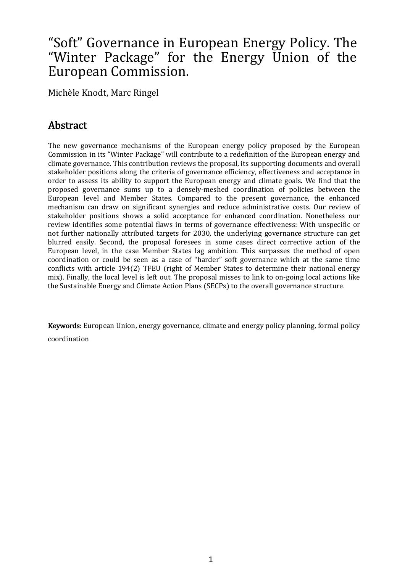# "Soft" Governance in European Energy Policy. The "Winter Package" for the Energy Union of the European Commission.

Michèle Knodt, Marc Ringel

## Abstract

The new governance mechanisms of the European energy policy proposed by the European Commission in its "Winter Package" will contribute to a redefinition of the European energy and climate governance. This contribution reviews the proposal, its supporting documents and overall stakeholder positions along the criteria of governance efficiency, effectiveness and acceptance in order to assess its ability to support the European energy and climate goals. We find that the proposed governance sums up to densely-meshed coordination of policies between the European level and Member States. Compared to the present governance, the enhanced mechanism can draw on significant synergies and reduce administrative costs. Our review of stakeholder positions shows a solid acceptance for enhanced coordination. Nonetheless our review identifies some potential flaws in terms of governance effectiveness: With unspecific or not further nationally attributed targets for 2030, the underlying governance structure can get blurred easily. Second, the proposal foresees in some cases direct corrective action of the European level, in the case Member States lag ambition. This surpasses the method of open coordination or could be seen as case of "harder" soft governance which at the same time conflicts with article 194(2) TFEU (right of Member States to determine their national energy mix). Finally, the local level is left out. The proposal misses to link to on-going local actions like the Sustainable Energy and Climate Action Plans (SECPs) to the overall governance structure.

Keywords:European Union, energy governance, climate and energy policy planning, formal policy coordination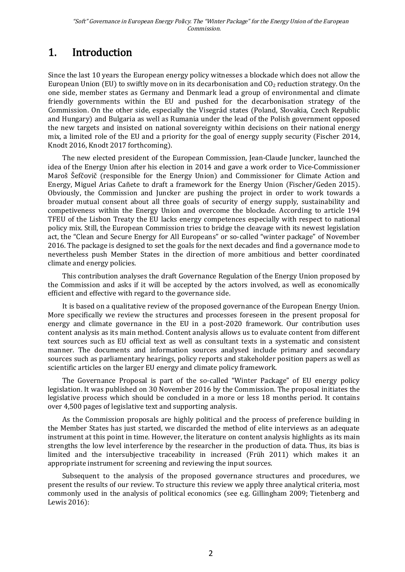# 1. Introduction

Since the last 10 years the European energy policy witnesses a blockade which does not allow the European Union (EU) to swiftly move on in its decarbonisation and  $CO<sub>2</sub>$  reduction strategy. On the one side, member states as Germany and Denmark lead group of environmental and climate friendly governments within the EU and pushed for the decarbonisation strategy of the Commission. On the other side, especially the Visegrád states (Poland, Slovakia, Czech Republic and Hungary) and Bulgaria as well as Rumania under the lead of the Polish government opposed the new targets and insisted on national sovereignty within decisions on their national energy mix, a limited role of the EU and a priority for the goal of energy supply security (Fischer 2014, Knodt 2016, Knodt 2017 forthcoming).

The new elected president of the European Commission, Jean-Claude Juncker, launched the idea of the Energy Union after his election in 2014 and gave a work order to Vice-Commissioner Maroš Šefčovič (responsible for the Energy Union) and Commissioner for Climate Action and Energy, Miguel Arias Cañete to draft a framework for the Energy Union (Fischer/Geden 2015). Obviously, the Commission and Juncker are pushing the project in order to work towards broader mutual consent about all three goals of security of energy supply, sustainability and competiveness within the Energy Union and overcome the blockade. According to article 194 TFEU of the Lisbon Treaty the EU lacks energy competences especially with respect to national policy mix. Still, the European Commission tries to bridge the cleavage with its newest legislation act, the "Clean and Secure Energy for All Europeans" or so-called "winter package" of November 2016. The package is designed to set the goals for the next decades and find a governance mode to nevertheless push Member States in the direction of more ambitious and better coordinated climate and energy policies.

This contribution analyses the draft Governance Regulation of the Energy Union proposed by the Commission and asks if it will be accepted by the actors involved, as well as economically efficient and effective with regard to the governance side.

It is based on a qualitative review of the proposed governance of the European Energy Union. More specifically we review the structures and processes foreseen in the present proposal for energy and climate governance in the EU in a post-2020 framework. Our contribution uses content analysis as its main method. Content analysis allows us to evaluate content from different text sources such as EU official text as well as consultant texts in a systematic and consistent manner. The documents and information sources analysed include primary and secondary sources such as parliamentary hearings, policy reports and stakeholder position papers as well as scientific articles on the larger EU energy and climate policy framework.

The Governance Proposal is part of the so-called "Winter Package" of EU energy policy legislation. It was published on 30 November 2016 by the Commission. The proposal initiates the legislative process which should be concluded in a more or less 18 months period. It contains over 4,500 pages of legislative text and supporting analysis.

As the Commission proposals are highly political and the process of preference building in the Member States has just started, we discarded the method of elite interviews as an adequate instrument at this point in time. However, the literature on content analysis highlights as its main strengths the low level interference by the researcher in the production of data. Thus, its bias is limited and the intersubjective traceability in increased (Früh 2011) which makes it an appropriate instrument for screening and reviewing the input sources.

Subsequent to the analysis of the proposed governance structures and procedures, we present the results of our review. To structure this review we apply three analytical criteria, most commonly used in the analysis of political economics (see e.g. Gillingham 2009; Tietenberg and Lewis 2016):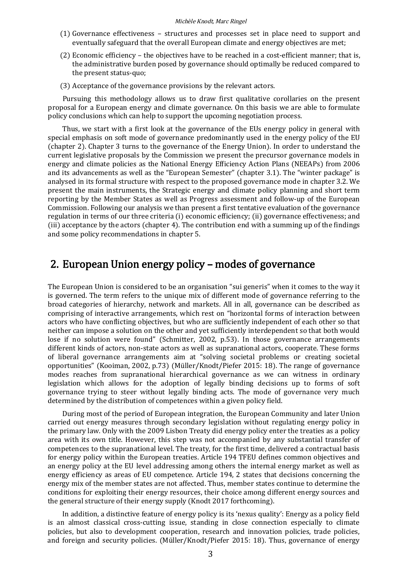- (1) Governance effectiveness structures and processes set in place need to support and eventually safeguard that the overall European climate and energy objectives are met;
- (2) Economic efficiency  $-$  the objectives have to be reached in a cost-efficient manner; that is, the administrative burden posed by governance should optimally be reduced compared to the present status-quo;
- (3) Acceptance of the governance provisions by the relevant actors.

Pursuing this methodology allows us to draw first qualitative corollaries on the present proposal for a European energy and climate governance. On this basis we are able to formulate policy conclusions which can help to support the upcoming negotiation process.

Thus, we start with a first look at the governance of the EUs energy policy in general with special emphasis on soft mode of governance predominantly used in the energy policy of the EU  $($ chapter 2). Chapter 3 turns to the governance of the Energy Union). In order to understand the current legislative proposals by the Commission we present the precursor governance models in energy and climate policies as the National Energy Efficiency Action Plans (NEEAPs) from 2006 and its advancements as well as the "European Semester" (chapter 3.1). The "winter package" is analysed in its formal structure with respect to the proposed governance mode in chapter 3.2. We present the main instruments, the Strategic energy and climate policy planning and short term reporting by the Member States as well as Progress assessment and follow-up of the European Commission. Following our analysis we than present a first tentative evaluation of the governance regulation in terms of our three criteria (i) economic efficiency; (ii) governance effectiveness; and (iii) acceptance by the actors (chapter 4). The contribution end with a summing up of the findings and some policy recommendations in chapter 5.

### 2. European Union energy policy – modes of governance

The European Union is considered to be an organisation "sui generis" when it comes to the way it is governed. The term refers to the unique mix of different mode of governance referring to the broad categories of hierarchy, network and markets. All in all, governance can be described as comprising of interactive arrangements, which rest on "horizontal forms of interaction between actors who have conflicting objectives, but who are sufficiently independent of each other so that neither can impose a solution on the other and yet sufficiently interdependent so that both would lose if no solution were found" (Schmitter, 2002, p.53). In those governance arrangements different kinds of actors, non-state actors as well as supranational actors, cooperate. These forms of liberal governance arrangements aim at "solving societal problems or creating societal opportunities" (Kooiman, 2002, p.73) (Müller/Knodt/Piefer 2015: 18). The range of governance modes reaches from supranational hierarchical governance as we can witness in ordinary legislation which allows for the adoption of legally binding decisions up to forms of soft governance trying to steer without legally binding acts. The mode of governance very much determined by the distribution of competences within a given policy field.

During most of the period of European integration, the European Community and later Union carried out energy measures through secondary legislation without regulating energy policy in the primary law. Only with the 2009 Lisbon Treaty did energy policy enter the treaties as a policy area with its own title. However, this step was not accompanied by any substantial transfer of competences to the supranational level. The treaty, for the first time, delivered a contractual basis for energy policy within the European treaties. Article 194 TFEU defines common objectives and an energy policy at the EU level addressing among others the internal energy market as well as energy efficiency as areas of EU competence. Article 194, 2 states that decisions concerning the energy mix of the member states are not affected. Thus, member states continue to determine the conditions for exploiting their energy resources, their choice among different energy sources and the general structure of their energy supply (Knodt 2017 forthcoming).

In addition, a distinctive feature of energy policy is its 'nexus quality': Energy as a policy field is an almost classical cross-cutting issue, standing in close connection especially to climate policies, but also to development cooperation, research and innovation policies, trade policies, and foreign and security policies. (Müller/Knodt/Piefer 2015: 18). Thus, governance of energy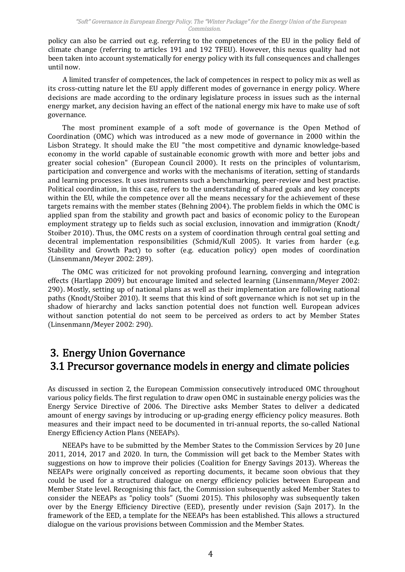policy can also be carried out e.g. referring to the competences of the EU in the policy field of climate change (referring to articles 191 and 192 TFEU). However, this nexus quality had not been taken into account systematically for energy policy with its full consequences and challenges until now.

limited transfer of competences, the lack of competences in respect to policy mix as well as its cross-cutting nature let the EU apply different modes of governance in energy policy. Where decisions are made according to the ordinary legislature process in issues such as the internal energy market, any decision having an effect of the national energy mix have to make use of soft governance.

The most prominent example of a soft mode of governance is the Open Method of Coordination (OMC) which was introduced as new mode of governance in 2000 within the Lisbon Strategy. It should make the EU "the most competitive and dynamic knowledge-based economy in the world capable of sustainable economic growth with more and better jobs and greater social cohesion" (European Council 2000). It rests on the principles of voluntarism, participation and convergence and works with the mechanisms of iteration, setting of standards and learning processes. It uses instruments such a benchmarking, peer-review and best practise. Political coordination, in this case, refers to the understanding of shared goals and key concepts within the EU, while the competence over all the means necessary for the achievement of these targets remains with the member states (Behning 2004). The problem fields in which the OMC is applied span from the stability and growth pact and basics of economic policy to the European employment strategy up to fields such as social exclusion, innovation and immigration (Knodt/ Stoiber 2010). Thus, the OMC rests on a system of coordination through central goal setting and decentral implementation responsibilities (Schmid/Kull 2005). It varies from harder (e.g. Stability and Growth Pact) to softer (e.g. education policy) open modes of coordination (Linsenmann/Meyer 2002: 289).

The OMC was criticized for not provoking profound learning, converging and integration effects (Hartlapp 2009) but encourage limited and selected learning (Linsenmann/Meyer 2002: 290). Mostly, setting up of national plans as well as their implementation are following national paths (Knodt/Stoiber 2010). It seems that this kind of soft governance which is not set up in the shadow of hierarchy and lacks sanction potential does not function well. European advices without sanction potential do not seem to be perceived as orders to act by Member States (Linsenmann/Meyer 2002: 290).

## 3. EnergyUnionGovernance 3.1 Precursor governance models in energy and climate policies

As discussed in section 2, the European Commission consecutively introduced OMC throughout various policy fields. The first regulation to draw open OMC in sustainable energy policies was the Energy Service Directive of 2006. The Directive asks Member States to deliver dedicated amount of energy savings by introducing or up-grading energy efficiency policy measures. Both measures and their impact need to be documented in tri-annual reports, the so-called National Energy Efficiency Action Plans (NEEAPs).

NEEAPs have to be submitted by the Member States to the Commission Services by 20 June 2011, 2014, 2017 and 2020. In turn, the Commission will get back to the Member States with suggestions on how to improve their policies (Coalition for Energy Savings 2013). Whereas the NEEAPs were originally conceived as reporting documents, it became soon obvious that they could be used for structured dialogue on energy efficiency policies between European and Member State level. Recognising this fact, the Commission subsequently asked Member States to consider the NEEAPs as "policy tools" (Suomi 2015). This philosophy was subsequently taken over by the Energy Efficiency Directive (EED), presently under revision (Sajn 2017). In the framework of the EED, a template for the NEEAPs has been established. This allows a structured dialogue on the various provisions between Commission and the Member States.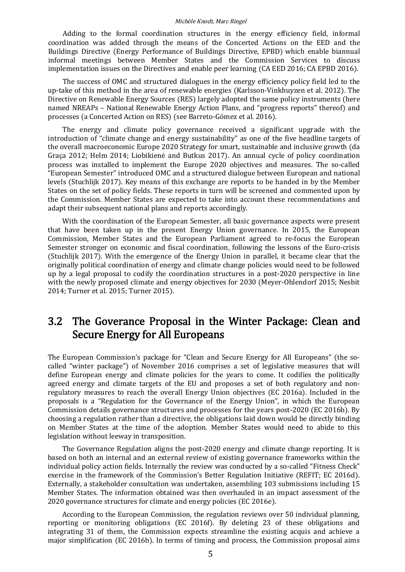Adding to the formal coordination structures in the energy efficiency field, informal coordination was added through the means of the Concerted Actions on the EED and the Buildings Directive (Energy Performance of Buildings Directive, EPBD) which enable biannual informal meetings between Member States and the Commission Services to discuss implementation issues on the Directives and enable peer learning (CA EED 2016; CA EPBD 2016).

The success of OMC and structured dialogues in the energy efficiency policy field led to the up-take of this method in the area of renewable energies (Karlsson-Vinkhuyzen et al. 2012). The Directive on Renewable Energy Sources (RES) largely adopted the same policy instruments (here named NREAPs - National Renewable Energy Action Plans, and "progress reports" thereof) and processes (a Concerted Action on RES) (see Barreto-Gómez et al. 2016).

The energy and climate policy governance received a significant upgrade with the introduction of "climate change and energy sustainability" as one of the five headline targets of the overall macroeconomic Europe 2020 Strategy for smart, sustainable and inclusive growth (da Graça 2012; Helm 2014; Liobikienė and Butkus 2017). An annual cycle of policy coordination process was installed to implement the Europe 2020 objectives and measures. The so-called "European Semester" introduced OMC and a structured dialogue between European and national levels (Stuchlijk 2017). Key means of this exchange are reports to be handed in by the Member States on the set of policy fields. These reports in turn will be screened and commented upon by the Commission. Member States are expected to take into account these recommendations and adapt their subsequent national plans and reports accordingly.

With the coordination of the European Semester, all basic governance aspects were present that have been taken up in the present Energy Union governance. In 2015, the European Commission, Member States and the European Parliament agreed to re-focus the European Semester stronger on economic and fiscal coordination, following the lessons of the Euro-crisis (Stuchlijk 2017). With the emergence of the Energy Union in parallel, it became clear that the originally political coordination of energy and climate change policies would need to be followed up by a legal proposal to codify the coordination structures in a post-2020 perspective in line with the newly proposed climate and energy objectives for 2030 (Meyer-Ohlendorf 2015; Nesbit 2014; Turner et al. 2015; Turner 2015).

### 3.2 The Goverance Proposal in the Winter Package: Clean and Secure Energy for All Europeans

The European Commission's package for "Clean and Secure Energy for All Europeans" (the socalled "winter package") of November 2016 comprises a set of legislative measures that will define European energy and climate policies for the years to come. It codifies the politically agreed energy and climate targets of the EU and proposes a set of both regulatory and nonregulatory measures to reach the overall Energy Union objectives (EC 2016a). Included in the proposals is "Regulation for the Governance of the Energy Union", in which the European Commission details governance structures and processes for the years post-2020 (EC 2016b). By choosing a regulation rather than a directive, the obligations laid down would be directly binding on Member States at the time of the adoption. Member States would need to abide to this legislation without leeway in transposition.

The Governance Regulation aligns the post-2020 energy and climate change reporting. It is based on both an internal and an external review of existing governance frameworks within the individual policy action fields. Internally the review was conducted by a so-called "Fitness Check" exercise in the framework of the Commission's Better Regulation Initiative (REFIT; EC 2016d). Externally, a stakeholder consultation was undertaken, assembling 103 submissions including 15 Member States. The information obtained was then overhauled in an impact assessment of the 2020 governance structures for climate and energy policies (EC 2016e).

According to the European Commission, the regulation reviews over 50 individual planning, reporting or monitoring obligations (EC 2016f). By deleting 23 of these obligations and integrating 31 of them, the Commission expects streamline the existing acquis and achieve a major simplification (EC 2016b). In terms of timing and process, the Commission proposal aims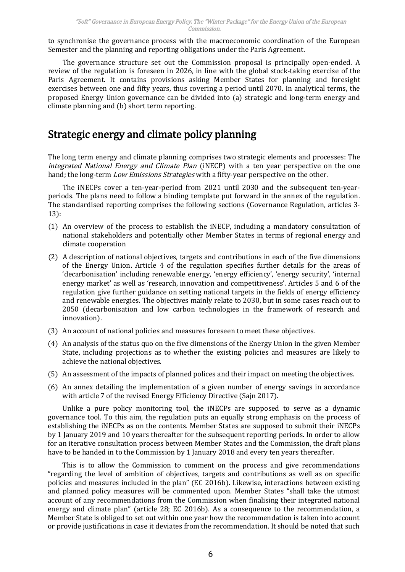to synchronise the governance process with the macroeconomic coordination of the European Semester and the planning and reporting obligations under the Paris Agreement.

The governance structure set out the Commission proposal is principally open-ended. A review of the regulation is foreseen in 2026, in line with the global stock-taking exercise of the Paris Agreement. It contains provisions asking Member States for planning and foresight exercises between one and fifty years, thus covering a period until 2070. In analytical terms, the proposed Energy Union governance can be divided into (a) strategic and long-term energy and climate planning and (b) short term reporting.

## Strategic energy and climate policy planning

The long term energy and climate planning comprises two strategic elements and processes: The integrated National Energy and Climate Plan (iNECP) with a ten year perspective on the one hand; the long-term Low Emissions Strategies with a fifty-year perspective on the other.

The iNECPs cover a ten-year-period from 2021 until 2030 and the subsequent ten-yearperiods. The plans need to follow a binding template put forward in the annex of the regulation. The standardised reporting comprises the following sections (Governance Regulation, articles 3- 13):

- (1) An overview of the process to establish the iNECP, including mandatory consultation of national stakeholders and potentially other Member States in terms of regional energy and climate cooperation
- (2) description of national objectives, targets and contributions in each of the five dimensions of the Energy Union. Article 4 of the regulation specifies further details for the areas of 'decarbonisation' including renewable energy, 'energy efficiency', 'energy security', 'internal energy market' as well as 'research, innovation and competitiveness'. Articles 5 and 6 of the regulation give further guidance on setting national targets in the fields of energy efficiency and renewable energies. The objectives mainly relate to 2030, but in some cases reach out to 2050 (decarbonisation and low carbon technologies in the framework of research and innovation).
- (3) An account of national policies and measures foreseen to meet these objectives.
- (4) An analysis of the status quo on the five dimensions of the Energy Union in the given Member State, including projections as to whether the existing policies and measures are likely to achieve the national objectives.
- (5) An assessment of the impacts of planned polices and their impact on meeting the objectives.
- $(6)$  An annex detailing the implementation of a given number of energy savings in accordance with article 7 of the revised Energy Efficiency Directive (Sajn 2017).

Unlike a pure policy monitoring tool, the iNECPs are supposed to serve as a dynamic governance tool. To this aim, the regulation puts an equally strong emphasis on the process of establishing the iNECPs as on the contents. Member States are supposed to submit their iNECPs by 1 January 2019 and 10 years thereafter for the subsequent reporting periods. In order to allow for an iterative consultation process between Member States and the Commission, the draft plans have to be handed in to the Commission by 1 January 2018 and every ten years thereafter.

This is to allow the Commission to comment on the process and give recommendations "regarding the level of ambition of objectives, targets and contributions as well as on specific policies and measures included in the plan" (EC 2016b). Likewise, interactions between existing and planned policy measures will be commented upon. Member States "shall take the utmost account of any recommendations from the Commission when finalising their integrated national energy and climate plan" (article 28; EC 2016b). As a consequence to the recommendation, a Member State is obliged to set out within one year how the recommendation is taken into account or provide justifications in case it deviates from the recommendation. It should be noted that such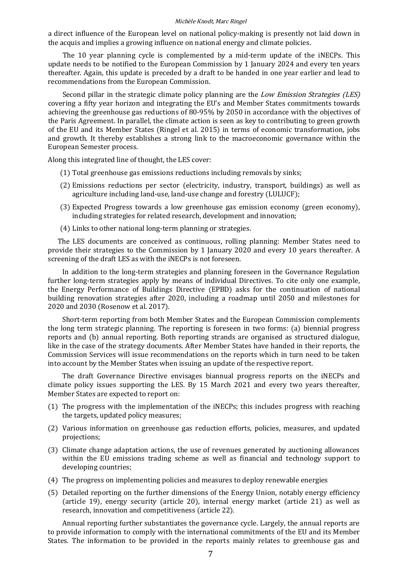a direct influence of the European level on national policy-making is presently not laid down in the acquis and implies a growing influence on national energy and climate policies.

The 10 year planning cycle is complemented by a mid-term update of the iNECPs. This update needs to be notified to the European Commission by 1 January 2024 and every ten years thereafter. Again, this update is preceded by a draft to be handed in one year earlier and lead to recommendations from the European Commission.

Second pillar in the strategic climate policy planning are the *Low Emission Strategies (LES)* covering a fifty year horizon and integrating the EU's and Member States commitments towards achieving the greenhouse gas reductions of 80-95% by 2050 in accordance with the objectives of the Paris Agreement. In parallel, the climate action is seen as key to contributing to green growth of the EU and its Member States (Ringel et al. 2015) in terms of economic transformation, jobs and growth. It thereby establishes a strong link to the macroeconomic governance within the European Semester process.

Along this integrated line of thought, the LES cover:

- (1) Total greenhouse gas emissions reductions including removals by sinks;
- (2) Emissions reductions per sector (electricity, industry, transport, buildings) as well as agriculture including land-use, land-use change and forestry (LULUCF);
- (3) Expected Progress towards low greenhouse gas emission economy (green economy), including strategies for related research, development and innovation;
- (4) Links to other national long-term planning or strategies.

The LES documents are conceived as continuous, rolling planning: Member States need to provide their strategies to the Commission by 1 January 2020 and every 10 years thereafter. A screening of the draft LES as with the iNECPs is not foreseen.

In addition to the long-term strategies and planning foreseen in the Governance Regulation further long-term strategies apply by means of individual Directives. To cite only one example, the Energy Performance of Buildings Directive (EPBD) asks for the continuation of national building renovation strategies after 2020, including a roadmap until 2050 and milestones for 2020 and 2030 (Rosenow et al. 2017).

Short-term reporting from both Member States and the European Commission complements the long term strategic planning. The reporting is foreseen in two forms: (a) biennial progress reports and (b) annual reporting. Both reporting strands are organised as structured dialogue, like in the case of the strategy documents. After Member States have handed in their reports, the Commission Services will issue recommendations on the reports which in turn need to be taken into account by the Member States when issuing an update of the respective report.

The draft Governance Directive envisages biannual progress reports on the iNECPs and climate policy issues supporting the LES. By 15 March 2021 and every two years thereafter, Member States are expected to report on:

- (1) The progress with the implementation of the iNECPs; this includes progress with reaching the targets, updated policy measures;
- (2) Various information on greenhouse gas reduction efforts, policies, measures, and updated projections;
- (3) Climate change adaptation actions, the use of revenues generated by auctioning allowances within the EU emissions trading scheme as well as financial and technology support to developing countries;
- (4) The progress on implementing policies and measures to deploy renewable energies
- (5) Detailed reporting on the further dimensions of the Energy Union, notably energy efficiency (article 19), energy security (article 20), internal energy market (article 21) as well as research, innovation and competitiveness (article 22).

Annual reporting further substantiates the governance cycle. Largely, the annual reports are to provide information to comply with the international commitments of the EU and its Member States. The information to be provided in the reports mainly relates to greenhouse gas and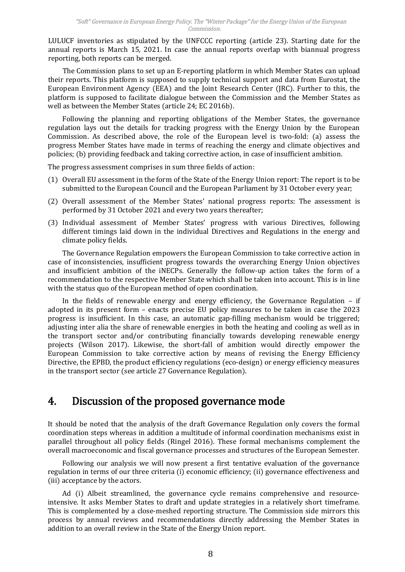LULUCF inventories as stipulated by the UNFCCC reporting (article 23). Starting date for the annual reports is March 15, 2021. In case the annual reports overlap with biannual progress reporting, both reports can be merged.

The Commission plans to set up an E-reporting platform in which Member States can upload their reports. This platform is supposed to supply technical support and data from Eurostat, the European Environment Agency (EEA) and the Joint Research Center (JRC). Further to this, the platform is supposed to facilitate dialogue between the Commission and the Member States as well as between the Member States (article 24; EC 2016b).

Following the planning and reporting obligations of the Member States, the governance regulation lays out the details for tracking progress with the Energy Union by the European Commission. As described above, the role of the European level is two-fold: (a) assess the progress Member States have made in terms of reaching the energy and climate objectives and policies; (b) providing feedback and taking corrective action, in case of insufficient ambition.

The progress assessment comprises in sum three fields of action:

- (1) Overall EU assessment in the form of the State of the Energy Union report: The report is to be submitted to the European Council and the European Parliament by 31 October every year;
- (2) Overall assessment of the Member States' national progress reports: The assessment is performed by 31 October 2021 and every two years thereafter;
- (3) Individual assessment of Member States' progress with various Directives, following different timings laid down in the individual Directives and Regulations in the energy and climate policy fields.

The Governance Regulation empowers the European Commission to take corrective action in case of inconsistencies, insufficient progress towards the overarching Energy Union objectives and insufficient ambition of the iNECPs. Generally the follow-up action takes the form of recommendation to the respective Member State which shall be taken into account. This is in line with the status quo of the European method of open coordination.

In the fields of renewable energy and energy efficiency, the Governance Regulation  $-$  if adopted in its present form - enacts precise EU policy measures to be taken in case the 2023 progress is insufficient. In this case, an automatic gap-filling mechanism would be triggered; adjusting inter alia the share of renewable energies in both the heating and cooling as well as in the transport sector and/or contributing financially towards developing renewable energy projects (Wilson 2017). Likewise, the short-fall of ambition would directly empower the European Commission to take corrective action by means of revising the Energy Efficiency Directive, the EPBD, the product efficiency regulations (eco-design) or energy efficiency measures in the transport sector (see article 27 Governance Regulation).

### 4. Discussion of the proposed governance mode

It should be noted that the analysis of the draft Governance Regulation only covers the formal coordination steps whereas in addition a multitude of informal coordination mechanisms exist in parallel throughout all policy fields (Ringel 2016). These formal mechanisms complement the overall macroeconomic and fiscal governance processes and structures of the European Semester.

Following our analysis we will now present a first tentative evaluation of the governance regulation in terms of our three criteria (i) economic efficiency; (ii) governance effectiveness and (iii) acceptance by the actors.

Ad (i) Albeit streamlined, the governance cycle remains comprehensive and resourceintensive. It asks Member States to draft and update strategies in a relatively short timeframe. This is complemented by a close-meshed reporting structure. The Commission side mirrors this process by annual reviews and recommendations directly addressing the Member States in addition to an overall review in the State of the Energy Union report.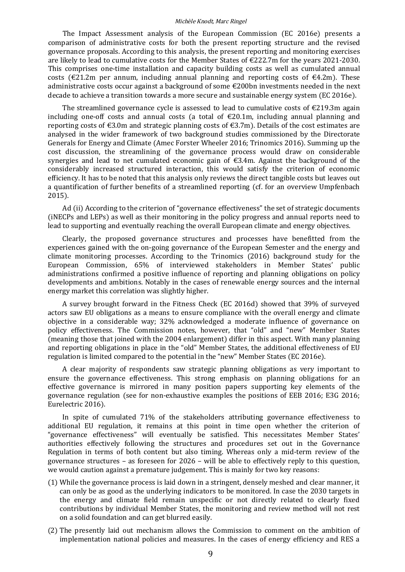The Impact Assessment analysis of the European Commission (EC 2016e) presents comparison of administrative costs for both the present reporting structure and the revised governance proposals. According to this analysis, the present reporting and monitoring exercises are likely to lead to cumulative costs for the Member States of €222.7m for the years 2021-2030. This comprises one-time installation and capacity building costs as well as cumulated annual costs ( $\epsilon$ 21.2m per annum, including annual planning and reporting costs of  $\epsilon$ 4.2m). These administrative costs occur against a background of some  $\epsilon$ 200bn investments needed in the next decade to achieve a transition towards a more secure and sustainable energy system ( $EC$  2016e).

The streamlined governance cycle is assessed to lead to cumulative costs of  $\epsilon$ 219.3m again including one-off costs and annual costs (a total of  $\epsilon$ 20.1m, including annual planning and reporting costs of  $\epsilon$ 3.0m and strategic planning costs of  $\epsilon$ 3.7m). Details of the cost estimates are analysed in the wider framework of two background studies commissioned by the Directorate Generals for Energy and Climate (Amec Forster Wheeler 2016; Trinomics 2016). Summing up the cost discussion, the streamlining of the governance process would draw on considerable synergies and lead to net cumulated economic gain of  $\epsilon$ 3.4m. Against the background of the considerably increased structured interaction, this would satisfy the criterion of economic efficiency. It has to be noted that this analysis only reviews the direct tangible costs but leaves out a quantification of further benefits of a streamlined reporting (cf. for an overview Umpfenbach 2015).

Ad (ii) According to the criterion of "governance effectiveness" the set of strategic documents (iNECPs and LEPs) as well as their monitoring in the policy progress and annual reports need to lead to supporting and eventually reaching the overall European climate and energy objectives.

Clearly, the proposed governance structures and processes have benefitted from the experiences gained with the on-going governance of the European Semester and the energy and climate monitoring processes. According to the Trinomics (2016) background study for the European Commission, 65% of interviewed stakeholders in Member States' public administrations confirmed a positive influence of reporting and planning obligations on policy developments and ambitions. Notably in the cases of renewable energy sources and the internal energy market this correlation was slightly higher.

 survey brought forward in the Fitness Check (EC 2016d) showed that 39% of surveyed actors saw EU obligations as a means to ensure compliance with the overall energy and climate objective in considerable way; 32% acknowledged moderate influence of governance on policy effectiveness. The Commission notes, however, that "old" and "new" Member States (meaning those that joined with the 2004 enlargement) differ in this aspect. With many planning and reporting obligations in place in the "old" Member States, the additional effectiveness of EU regulation is limited compared to the potential in the "new" Member States (EC 2016e).

 clear majority of respondents saw strategic planning obligations as very important to ensure the governance effectiveness. This strong emphasis on planning obligations for an effective governance is mirrored in many position papers supporting key elements of the governance regulation (see for non-exhaustive examples the positions of EEB 2016; E3G 2016; Eurelectric 2016).

In spite of cumulated 71% of the stakeholders attributing governance effectiveness to additional EU regulation, it remains at this point in time open whether the criterion of "governance effectiveness" will eventually be satisfied. This necessitates Member States' authorities effectively following the structures and procedures set out in the Governance Regulation in terms of both content but also timing. Whereas only mid-term review of the governance structures  $-$  as foreseen for 2026  $-$  will be able to effectively reply to this question, we would caution against a premature judgement. This is mainly for two key reasons:

- $(1)$  While the governance process is laid down in a stringent, densely meshed and clear manner, it can only be as good as the underlying indicators to be monitored. In case the 2030 targets in the energy and climate field remain unspecific or not directly related to clearly fixed contributions by individual Member States, the monitoring and review method will not rest on a solid foundation and can get blurred easily.
- (2) The presently laid out mechanism allows the Commission to comment on the ambition of implementation national policies and measures. In the cases of energy efficiency and RES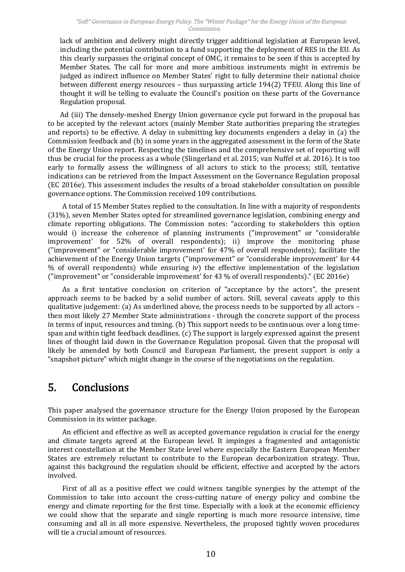#### "Soft" Governance in European Energy Policy. The "Winter Package" for the Energy Union of the European Commission.

lack of ambition and delivery might directly trigger additional legislation at European level, including the potential contribution to a fund supporting the deployment of RES in the EU. As this clearly surpasses the original concept of OMC, it remains to be seen if this is accepted by Member States. The call for more and more ambitious instruments might in extremis be judged as indirect influence on Member States' right to fully determine their national choice between different energy resources - thus surpassing article 194(2) TFEU. Along this line of thought it will be telling to evaluate the Council's position on these parts of the Governance Regulation proposal.

Ad (iii) The densely-meshed Energy Union governance cycle put forward in the proposal has to be accepted by the relevant actors (mainly Member State authorities preparing the strategies and reports) to be effective. A delay in submitting key documents engenders a delay in (a) the Commission feedback and (b) in some years in the aggregated assessment in the form of the State of the Energy Union report. Respecting the timelines and the comprehensive set of reporting will thus be crucial for the process as a whole (Slingerland et al. 2015; van Nuffel et al. 2016). It is too early to formally assess the willingness of all actors to stick to the process; still, tentative indications can be retrieved from the Impact Assessment on the Governance Regulation proposal  $(EC 2016e)$ . This assessment includes the results of a broad stakeholder consultation on possible governance options. The Commission received 109 contributions.

A total of 15 Member States replied to the consultation. In line with a majority of respondents (31%), seven Member States opted for streamlined governance legislation, combining energy and climate reporting obligations. The Commission notes: "according to stakeholders this option would i) increase the coherence of planning instruments ("improvement" or "considerable improvement' for 52% of overall respondents); ii) improve the monitoring phase ("improvement" or "considerable improvement' for 47% of overall respondents); facilitate the achievement of the Energy Union targets ("improvement" or "considerable improvement' for 44 Ψ of overall respondents) while ensuring iv) the effective implementation of the legislation ("improvement" or "considerable improvement' for 43 % of overall respondents)." (EC 2016e)

As a first tentative conclusion on criterion of "acceptance by the actors", the present approach seems to be backed by a solid number of actors. Still, several caveats apply to this qualitative judgement: (a) As underlined above, the process needs to be supported by all actors  $$ then most likely 27 Member State administrations - through the concrete support of the process in terms of input, resources and timing. (b) This support needs to be continuous over a long timespan and within tight feedback deadlines. (c) The support is largely expressed against the present lines of thought laid down in the Governance Regulation proposal. Given that the proposal will likely be amended by both Council and European Parliament, the present support is only a "snapshot picture" which might change in the course of the negotiations on the regulation.

### 5. Conclusions

This paper analysed the governance structure for the Energy Union proposed by the European Commission in its winter package.

An efficient and effective as well as accepted governance regulation is crucial for the energy and climate targets agreed at the European level. It impinges a fragmented and antagonistic interest constellation at the Member State level where especially the Eastern European Member States are extremely reluctant to contribute to the European decarbonization strategy. Thus, against this background the regulation should be efficient, effective and accepted by the actors involved.

First of all as positive effect we could witness tangible synergies by the attempt of the Commission to take into account the cross-cutting nature of energy policy and combine the energy and climate reporting for the first time. Especially with a look at the economic efficiency we could show that the separate and single reporting is much more resource intensive, time consuming and all in all more expensive. Nevertheless, the proposed tightly woven procedures will tie a crucial amount of resources.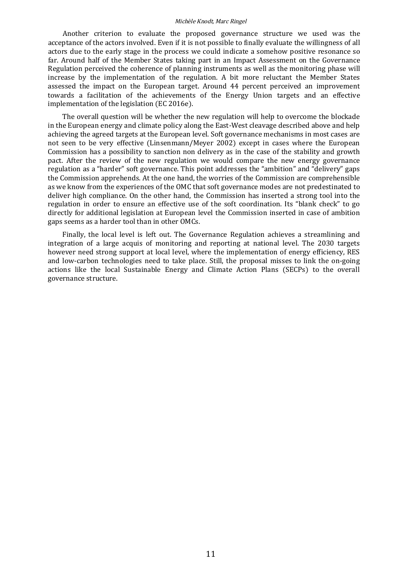Another criterion to evaluate the proposed governance structure we used was the acceptance of the actors involved. Even if it is not possible to finally evaluate the willingness of all actors due to the early stage in the process we could indicate a somehow positive resonance so far. Around half of the Member States taking part in an Impact Assessment on the Governance Regulation perceived the coherence of planning instruments as well as the monitoring phase will increase by the implementation of the regulation. A bit more reluctant the Member States assessed the impact on the European target. Around 44 percent perceived an improvement towards facilitation of the achievements of the Energy Union targets and an effective implementation of the legislation (EC 2016e).

The overall question will be whether the new regulation will help to overcome the blockade in the European energy and climate policy along the East-West cleavage described above and help achieving the agreed targets at the European level. Soft governance mechanisms in most cases are not seen to be very effective (Linsenmann/Meyer 2002) except in cases where the European Commission has a possibility to sanction non delivery as in the case of the stability and growth pact. After the review of the new regulation we would compare the new energy governance regulation as a "harder" soft governance. This point addresses the "ambition" and "delivery" gaps the Commission apprehends. At the one hand, the worries of the Commission are comprehensible as we know from the experiences of the OMC that soft governance modes are not predestinated to deliver high compliance. On the other hand, the Commission has inserted a strong tool into the regulation in order to ensure an effective use of the soft coordination. Its "blank check" to go directly for additional legislation at European level the Commission inserted in case of ambition gaps seems as a harder tool than in other OMCs.

Finally, the local level is left out. The Governance Regulation achieves a streamlining and integration of a large acquis of monitoring and reporting at national level. The 2030 targets however need strong support at local level, where the implementation of energy efficiency, RES and low-carbon technologies need to take place. Still, the proposal misses to link the on-going actions like the local Sustainable Energy and Climate Action Plans (SECPs) to the overall governance structure.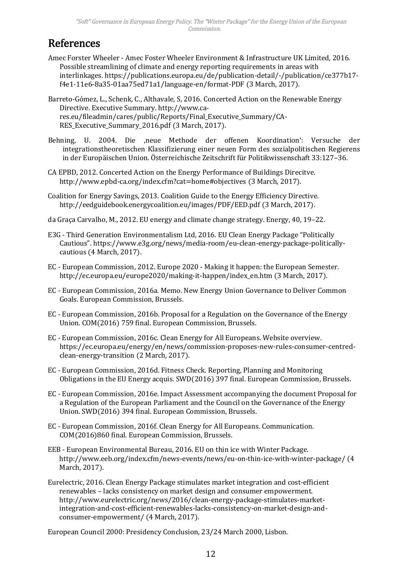# References

- Amec Forster Wheeler Amec Foster Wheeler Environment & Infrastructure UK Limited, 2016. Possible streamlining of climate and energy reporting requirements in areas with interlinkages. https://publications.europa.eu/de/publication-detail/-/publication/ce377b17 f4e1-11e6-8a35-01aa75ed71a1/language-en/format-PDF (3 March, 2017).
- Barreto-Gómez, L., Schenk, C., Althavale, S, 2016. Concerted Action on the Renewable Energy Directive. Executive Summary. http://www.cares.eu/fileadmin/cares/public/Reports/Final\_Executive\_Summary/CA-RES Executive Summary 2016.pdf (3 March, 2017).
- Behning, U. 2004. Die 'neue Methode der offenen Koordination': Versuche der integrationstheoretischen Klassifizierung einer neuen Form des sozialpolitischen Regierens in der Europäischen Union. Österreichische Zeitschrift für Politikwissenschaft 33:127–36.
- CA EPBD, 2012. Concerted Action on the Energy Performance of Buildings Direcitve. http://www.epbd-ca.org/index.cfm?cat=home#objectives (3 March, 2017).
- Coalition for Energy Savings, 2013. Coalition Guide to the Energy Efficiency Directive. http://eedguidebook.energycoalition.eu/images/PDF/EED.pdf (3 March, 2017).
- da Graça Carvalho, M., 2012. EU energy and climate change strategy. Energy, 40, 19–22.
- E3G Third Generation Environmentalism Ltd, 2016. EU Clean Energy Package "Politically Cautious". https://www.e3g.org/news/media-room/eu-clean-energy-package-politicallycautious (4 March, 2017).
- EC European Commission, 2012. Europe 2020 Making it happen: the European Semester. http://ec.europa.eu/europe2020/making-it-happen/index\_en.htm (3 March, 2017).
- EC European Commission, 2016a. Memo. New Energy Union Governance to Deliver Common Goals. European Commission, Brussels.
- EC European Commission, 2016b. Proposal for a Regulation on the Governance of the Energy Union. COM(2016) 759 final. European Commission, Brussels.
- EC European Commission, 2016c. Clean Energy for All Europeans. Website overview. https://ec.europa.eu/energy/en/news/commission-proposes-new-rules-consumer-centredclean-energy-transition (2 March, 2017).
- EC European Commission, 2016d. Fitness Check. Reporting, Planning and Monitoring Obligations in the EU Energy acquis. SWD(2016) 397 final. European Commission, Brussels.
- EC European Commission, 2016e. Impact Assessment accompanying the document Proposal for Regulation of the European Parliament and the Council on the Governance of the Energy Union. SWD(2016) 394 final. European Commission, Brussels.
- EC European Commission, 2016f. Clean Energy for All Europeans. Communication. COM(2016)860 final. European Commission, Brussels.
- EEB European Environmental Bureau, 2016. EU on thin ice with Winter Package. http://www.eeb.org/index.cfm/news-events/news/eu-on-thin-ice-with-winter-package/ (4 March, 2017).
- Eurelectric, 2016. Clean Energy Package stimulates market integration and cost-efficient renewables - lacks consistency on market design and consumer empowerment. http://www.eurelectric.org/news/2016/clean-energy-package-stimulates-marketintegration-and-cost-efficient-renewables-lacks-consistency-on-market-design-andconsumer-empowerment/ (4 March, 2017).

European Council 2000: Presidency Conclusion, 23/24 March 2000, Lisbon.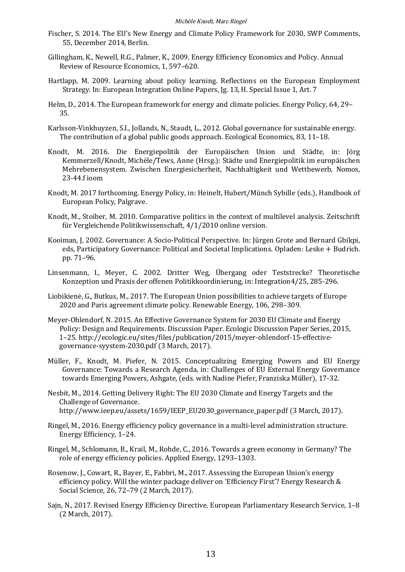- Fischer, S. 2014. The EU's New Energy and Climate Policy Framework for 2030, SWP Comments, 55, December 2014, Berlin.
- Gillingham, K., Newell, R.G., Palmer, K., 2009. Energy Efficiency Economics and Policy. Annual Review of Resource Economics, 1, 597–620.
- Hartlapp, M. 2009. Learning about policy learning. Reflections on the European Employment Strategy. In: European Integration Online Papers, Jg. 13, H. Special Issue 1, Art.
- Helm, D., 2014. The European framework for energy and climate policies. Energy Policy, 64, 29– 35.
- Karlsson-Vinkhuyzen, S.I., Jollands, N., Staudt, L., 2012. Global governance for sustainable energy. The contribution of a global public goods approach. Ecological Economics, 83, 11–18.
- Knodt, M. 2016. Die Energiepolitik der Europäischen Union und Städte, in: Jörg Kemmerzell/Knodt, Michèle/Tews, Anne (Hrsg.): Städte und Energiepolitik im europäischen Mehrebenensystem. Zwischen Energiesicherheit, Nachhaltigkeit und Wettbewerb, Nomos, 23-44.f ioom
- Knodt, M. 2017 forthcoming. Energy Policy, in: Heinelt, Hubert/Münch Sybille (eds.), Handbook of European Policy, Palgrave.
- Knodt, M., Stoiber, M. 2010. Comparative politics in the context of multilevel analysis. Zeitschrift für Vergleichende Politikwissenschaft, 4/1/2010 online version.
- Kooiman, J, 2002. Governance: A Socio-Political Perspective. In: Jürgen Grote and Bernard Gbikpi, eds, Participatory Governance: Political and Societal Implications. Opladen: Leske  $+$  Budrich. pp. 71–96.
- Linsenmann, I., Meyer, C. 2002. Dritter Weg, Übergang oder Teststrecke? Theoretische Konzeption und Praxis der offenen Politikkoordinierung, in: Integration4/25, 285-296.
- Liobikienė, G., Butkus, M., 2017. The European Union possibilities to achieve targets of Europe 2020 and Paris agreement climate policy. Renewable Energy, 106, 298–309.
- Meyer-Ohlendorf, N. 2015. An Effective Governance System for 2030 EU Climate and Energy Policy: Design and Requirements. Discussion Paper. Ecologic Discussion Paper Series, 2015, 1–25. http://ecologic.eu/sites/files/publication/2015/meyer-ohlendorf-15-effectivegovernance-syystem-2030.pdf (3 March, 2017).
- Müller, F., Knodt, M. Piefer, N. 2015. Conceptualizing Emerging Powers and EU Energy Governance: Towards a Research Agenda, in: Challenges of EU External Energy Governance towards Emerging Powers, Ashgate, (eds. with Nadine Piefer, Franziska Müller), 17-32.
- Nesbit, M., 2014. Getting Delivery Right: The EU 2030 Climate and Energy Targets and the Challenge of Governance. http://www.ieep.eu/assets/1659/IEEP\_EU2030\_governance\_paper.pdf (3 March, 2017).
- Ringel, M., 2016. Energy efficiency policy governance in a multi-level administration structure. Energy Efficiency, 1–24.
- Ringel, M., Schlomann, B., Krail, M., Rohde, C., 2016. Towards a green economy in Germany? The role of energy efficiency policies. Applied Energy, 1293–1303.
- Rosenow, J., Cowart, R., Bayer, E., Fabbri, M., 2017. Assessing the European Union's energy efficiency policy. Will the winter package deliver on 'Efficiency First'? Energy Research  $&$ Social Science, 26, 72–79 (2 March, 2017).
- Sajn, N., 2017. Revised Energy Efficiency Directive. European Parliamentary Research Service, 1–8 (2 March, 2017).